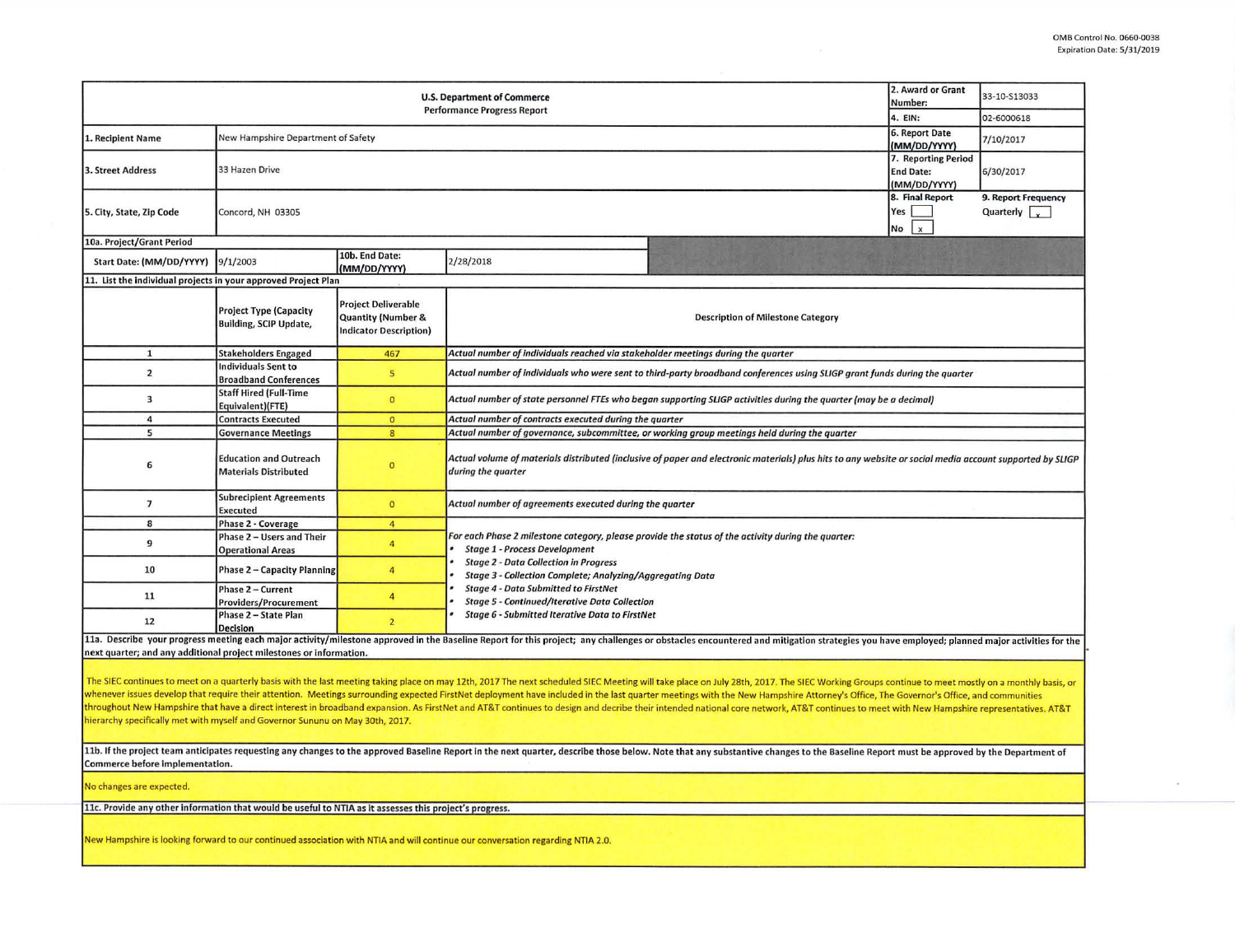|                                                                                                                                                                                                                                                                                                                                                                                                                                                                                                                                                                                                                                                                                                                                                                                    | 2. Award or Grant<br>Number:<br>4. EIN:                        | 33-10-S13033<br>02-6000618                                                                   |                                                                                                                                                                                                                                |                                             |  |  |  |  |  |  |  |
|------------------------------------------------------------------------------------------------------------------------------------------------------------------------------------------------------------------------------------------------------------------------------------------------------------------------------------------------------------------------------------------------------------------------------------------------------------------------------------------------------------------------------------------------------------------------------------------------------------------------------------------------------------------------------------------------------------------------------------------------------------------------------------|----------------------------------------------------------------|----------------------------------------------------------------------------------------------|--------------------------------------------------------------------------------------------------------------------------------------------------------------------------------------------------------------------------------|---------------------------------------------|--|--|--|--|--|--|--|
| 1. Recipient Name                                                                                                                                                                                                                                                                                                                                                                                                                                                                                                                                                                                                                                                                                                                                                                  | New Hampshire Department of Safety                             | 6. Report Date<br>(MM/DD/YYYY)                                                               | 7/10/2017                                                                                                                                                                                                                      |                                             |  |  |  |  |  |  |  |
| 3. Street Address                                                                                                                                                                                                                                                                                                                                                                                                                                                                                                                                                                                                                                                                                                                                                                  | 33 Hazen Drive                                                 | 7. Reporting Period<br><b>End Date:</b><br>(MM/DD/YYYY)                                      | 6/30/2017                                                                                                                                                                                                                      |                                             |  |  |  |  |  |  |  |
| 5. City, State, Zip Code                                                                                                                                                                                                                                                                                                                                                                                                                                                                                                                                                                                                                                                                                                                                                           | Concord, NH 03305                                              |                                                                                              | 8. Final Report<br>Yes<br>No<br>$\boldsymbol{\mathsf{x}}$                                                                                                                                                                      | 9. Report Frequency<br>Quarterly $\sqrt{ }$ |  |  |  |  |  |  |  |
| 10a. Project/Grant Period                                                                                                                                                                                                                                                                                                                                                                                                                                                                                                                                                                                                                                                                                                                                                          |                                                                |                                                                                              |                                                                                                                                                                                                                                |                                             |  |  |  |  |  |  |  |
| Start Date: (MM/DD/YYYY)                                                                                                                                                                                                                                                                                                                                                                                                                                                                                                                                                                                                                                                                                                                                                           | 9/1/2003                                                       | 10b. End Date:<br>(MM/DD/YYYY)                                                               | 2/28/2018                                                                                                                                                                                                                      |                                             |  |  |  |  |  |  |  |
| 11. List the individual projects in your approved Project Plan                                                                                                                                                                                                                                                                                                                                                                                                                                                                                                                                                                                                                                                                                                                     |                                                                |                                                                                              |                                                                                                                                                                                                                                |                                             |  |  |  |  |  |  |  |
|                                                                                                                                                                                                                                                                                                                                                                                                                                                                                                                                                                                                                                                                                                                                                                                    | <b>Project Type (Capacity</b><br><b>Building, SCIP Update,</b> | <b>Project Deliverable</b><br><b>Quantity (Number &amp;</b><br><b>Indicator Description)</b> | <b>Description of Milestone Category</b>                                                                                                                                                                                       |                                             |  |  |  |  |  |  |  |
| $\mathbf{1}$                                                                                                                                                                                                                                                                                                                                                                                                                                                                                                                                                                                                                                                                                                                                                                       | <b>Stakeholders Engaged</b>                                    | 467                                                                                          | Actual number of individuals reached via stakeholder meetings during the quarter                                                                                                                                               |                                             |  |  |  |  |  |  |  |
| $\overline{2}$                                                                                                                                                                                                                                                                                                                                                                                                                                                                                                                                                                                                                                                                                                                                                                     | <b>Individuals Sent to</b><br><b>Broadband Conferences</b>     | 5                                                                                            | Actual number of individuals who were sent to third-party broadband conferences using SLIGP grant funds during the quarter                                                                                                     |                                             |  |  |  |  |  |  |  |
| $\overline{\mathbf{3}}$                                                                                                                                                                                                                                                                                                                                                                                                                                                                                                                                                                                                                                                                                                                                                            | <b>Staff Hired (Full-Time</b><br>Equivalent)(FTE)              | $\circ$                                                                                      | Actual number of state personnel FTEs who began supporting SLIGP activities during the quarter (may be a decimal)                                                                                                              |                                             |  |  |  |  |  |  |  |
| $\overline{a}$                                                                                                                                                                                                                                                                                                                                                                                                                                                                                                                                                                                                                                                                                                                                                                     | <b>Contracts Executed</b>                                      | $\bullet$                                                                                    | Actual number of contracts executed during the quarter                                                                                                                                                                         |                                             |  |  |  |  |  |  |  |
| 5                                                                                                                                                                                                                                                                                                                                                                                                                                                                                                                                                                                                                                                                                                                                                                                  | <b>Governance Meetings</b>                                     | $\overline{\mathbf{8}}$                                                                      | Actual number of governance, subcommittee, or working group meetings held during the quarter                                                                                                                                   |                                             |  |  |  |  |  |  |  |
| 6                                                                                                                                                                                                                                                                                                                                                                                                                                                                                                                                                                                                                                                                                                                                                                                  | <b>Education and Outreach</b><br><b>Materials Distributed</b>  | $\mathbf{0}$                                                                                 | Actual volume of materials distributed (inclusive of paper and electronic materials) plus hits to any website or social media account supported by SLIGP<br>during the quarter                                                 |                                             |  |  |  |  |  |  |  |
| $\overline{7}$                                                                                                                                                                                                                                                                                                                                                                                                                                                                                                                                                                                                                                                                                                                                                                     | <b>Subrecipient Agreements</b><br>Executed                     | $\mathbf{0}$                                                                                 | Actual number of agreements executed during the quarter                                                                                                                                                                        |                                             |  |  |  |  |  |  |  |
| 8                                                                                                                                                                                                                                                                                                                                                                                                                                                                                                                                                                                                                                                                                                                                                                                  | Phase 2 - Coverage                                             | $\overline{4}$                                                                               |                                                                                                                                                                                                                                |                                             |  |  |  |  |  |  |  |
| 9                                                                                                                                                                                                                                                                                                                                                                                                                                                                                                                                                                                                                                                                                                                                                                                  | Phase 2 - Users and Their<br><b>Operational Areas</b>          | $\overline{4}$                                                                               | For each Phase 2 milestone category, please provide the status of the activity during the quarter:<br><b>Stage 1 - Process Development</b>                                                                                     |                                             |  |  |  |  |  |  |  |
| 10                                                                                                                                                                                                                                                                                                                                                                                                                                                                                                                                                                                                                                                                                                                                                                                 | <b>Phase 2 - Capacity Planning</b>                             | $\overline{4}$                                                                               | <b>Stage 2 - Data Collection in Progress</b><br>Stage 3 - Collection Complete; Analyzing/Aggregating Data<br><b>Stage 4 - Data Submitted to FirstNet</b><br><b>Stage 5 - Continued/Iterative Data Collection</b>               |                                             |  |  |  |  |  |  |  |
| 11                                                                                                                                                                                                                                                                                                                                                                                                                                                                                                                                                                                                                                                                                                                                                                                 | Phase 2 - Current<br>Providers/Procurement                     | $\overline{4}$                                                                               |                                                                                                                                                                                                                                |                                             |  |  |  |  |  |  |  |
| 12                                                                                                                                                                                                                                                                                                                                                                                                                                                                                                                                                                                                                                                                                                                                                                                 | Phase 2 - State Plan<br><b>Decision</b>                        | $\overline{2}$                                                                               | <b>Stage 6 - Submitted Iterative Data to FirstNet</b>                                                                                                                                                                          |                                             |  |  |  |  |  |  |  |
| next quarter; and any additional project milestones or information.                                                                                                                                                                                                                                                                                                                                                                                                                                                                                                                                                                                                                                                                                                                |                                                                |                                                                                              | 11a. Describe your progress meeting each major activity/milestone approved in the Baseline Report for this project; any challenges or obstacles encountered and mitigation strategies you have employed; planned major activit |                                             |  |  |  |  |  |  |  |
| The SIEC continues to meet on a quarterly basis with the last meeting taking place on may 12th, 2017 The next scheduled SIEC Meeting will take place on July 28th, 2017. The SIEC Working Groups continue to meet mostly on a<br>whenever issues develop that require their attention. Meetings surrounding expected FirstNet deployment have included in the last quarter meetings with the New Hampshire Attorney's Office, The Governor's Office, and commun<br>throughout New Hampshire that have a direct interest in broadband expansion. As FirstNet and AT&T continues to design and decribe their intended national core network, AT&T continues to meet with New Hampshire representati<br>hierarchy specifically met with myself and Governor Sununu on May 30th, 2017. |                                                                |                                                                                              |                                                                                                                                                                                                                                |                                             |  |  |  |  |  |  |  |
| 11b. If the project team anticipates requesting any changes to the approved Baseline Report in the next quarter, describe those below. Note that any substantive changes to the Baseline Report must be approved by the Depart<br>Commerce before implementation.                                                                                                                                                                                                                                                                                                                                                                                                                                                                                                                  |                                                                |                                                                                              |                                                                                                                                                                                                                                |                                             |  |  |  |  |  |  |  |
| No changes are expected.                                                                                                                                                                                                                                                                                                                                                                                                                                                                                                                                                                                                                                                                                                                                                           |                                                                |                                                                                              |                                                                                                                                                                                                                                |                                             |  |  |  |  |  |  |  |
| 11c. Provide any other information that would be useful to NTIA as it assesses this project's progress.                                                                                                                                                                                                                                                                                                                                                                                                                                                                                                                                                                                                                                                                            |                                                                |                                                                                              |                                                                                                                                                                                                                                |                                             |  |  |  |  |  |  |  |
| New Hampshire is looking forward to our continued association with NTIA and will continue our conversation regarding NTIA 2.0.                                                                                                                                                                                                                                                                                                                                                                                                                                                                                                                                                                                                                                                     |                                                                |                                                                                              |                                                                                                                                                                                                                                |                                             |  |  |  |  |  |  |  |
|                                                                                                                                                                                                                                                                                                                                                                                                                                                                                                                                                                                                                                                                                                                                                                                    |                                                                |                                                                                              |                                                                                                                                                                                                                                |                                             |  |  |  |  |  |  |  |